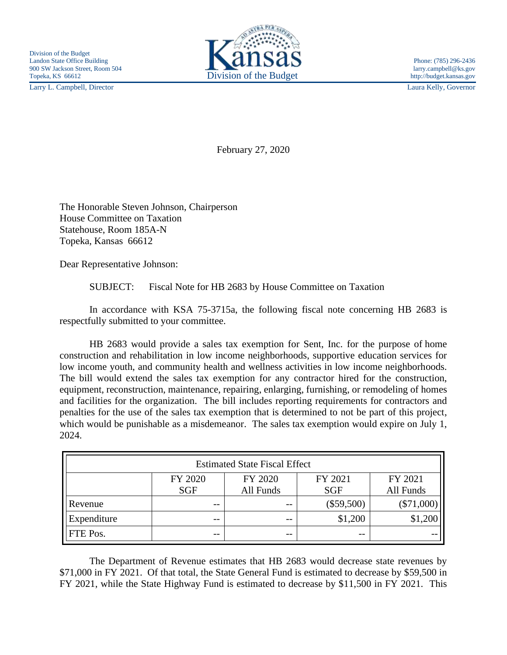Larry L. Campbell, Director Laura Kelly, Governor



February 27, 2020

The Honorable Steven Johnson, Chairperson House Committee on Taxation Statehouse, Room 185A-N Topeka, Kansas 66612

Dear Representative Johnson:

SUBJECT: Fiscal Note for HB 2683 by House Committee on Taxation

In accordance with KSA 75-3715a, the following fiscal note concerning HB 2683 is respectfully submitted to your committee.

HB 2683 would provide a sales tax exemption for Sent, Inc. for the purpose of home construction and rehabilitation in low income neighborhoods, supportive education services for low income youth, and community health and wellness activities in low income neighborhoods. The bill would extend the sales tax exemption for any contractor hired for the construction, equipment, reconstruction, maintenance, repairing, enlarging, furnishing, or remodeling of homes and facilities for the organization. The bill includes reporting requirements for contractors and penalties for the use of the sales tax exemption that is determined to not be part of this project, which would be punishable as a misdemeanor. The sales tax exemption would expire on July 1, 2024.

| <b>Estimated State Fiscal Effect</b> |            |           |              |           |
|--------------------------------------|------------|-----------|--------------|-----------|
|                                      | FY 2020    | FY 2020   | FY 2021      | FY 2021   |
|                                      | <b>SGF</b> | All Funds | <b>SGF</b>   | All Funds |
| Revenue                              | $- -$      | $ -$      | $(\$59,500)$ | (\$71,000 |
| Expenditure                          | $- -$      | $- -$     | \$1,200      |           |
| FTE Pos.                             | $- -$      | --        | $ -$         |           |

The Department of Revenue estimates that HB 2683 would decrease state revenues by \$71,000 in FY 2021. Of that total, the State General Fund is estimated to decrease by \$59,500 in FY 2021, while the State Highway Fund is estimated to decrease by \$11,500 in FY 2021. This